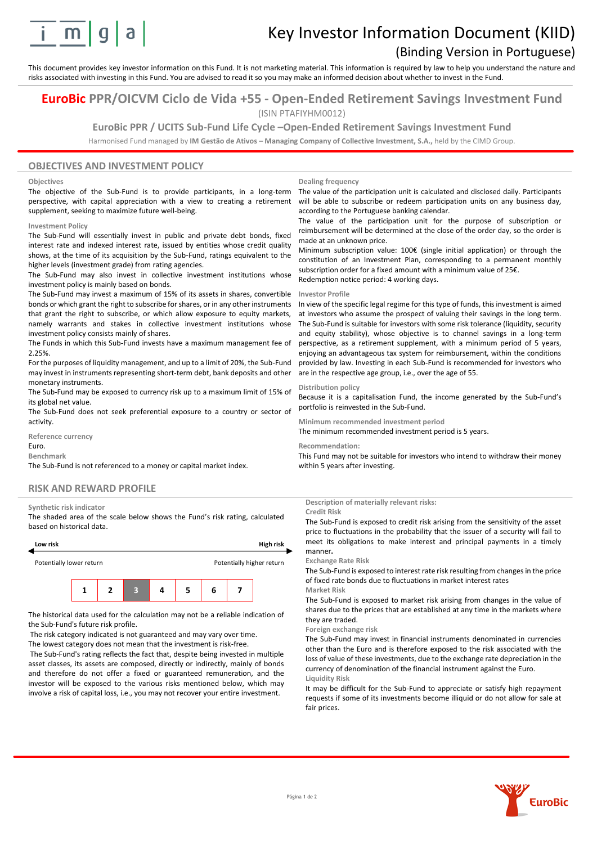

# Key Investor Information Document (KIID)

## (Binding Version in Portuguese)

This document provides key investor information on this Fund. It is not marketing material. This information is required by law to help you understand the nature and risks associated with investing in this Fund. You are advised to read it so you may make an informed decision about whether to invest in the Fund.

## **EuroBic PPR/OICVM Ciclo de Vida +55 - Open-Ended Retirement Savings Investment Fund** (ISIN PTAFIYHM0012)

## **EuroBic PPR / UCITS Sub-Fund Life Cycle –Open-Ended Retirement Savings Investment Fund**

Harmonised Fund managed by **IM Gestão de Ativos – Managing Company of Collective Investment, S.A.,** held by the CIMD Group.

### **OBJECTIVES AND INVESTMENT POLICY**

#### **Objectives**

The objective of the Sub-Fund is to provide participants, in a long-term perspective, with capital appreciation with a view to creating a retirement supplement, seeking to maximize future well-being.

#### **Investment Policy**

The Sub-Fund will essentially invest in public and private debt bonds, fixed interest rate and indexed interest rate, issued by entities whose credit quality shows, at the time of its acquisition by the Sub-Fund, ratings equivalent to the higher levels (investment grade) from rating agencies.

The Sub-Fund may also invest in collective investment institutions whose investment policy is mainly based on bonds.

The Sub-Fund may invest a maximum of 15% of its assets in shares, convertible bonds or which grant the right to subscribe for shares, or in any other instruments that grant the right to subscribe, or which allow exposure to equity markets, namely warrants and stakes in collective investment institutions whose investment policy consists mainly of shares.

The Funds in which this Sub-Fund invests have a maximum management fee of 2.25%.

For the purposes of liquidity management, and up to a limit of 20%, the Sub-Fund may invest in instruments representing short-term debt, bank deposits and other monetary instruments.

The Sub-Fund may be exposed to currency risk up to a maximum limit of 15% of its global net value.

The Sub-Fund does not seek preferential exposure to a country or sector of activity.

**Reference currency**

Euro. **Benchmark**

The Sub-Fund is not referenced to a money or capital market index.

#### **RISK AND REWARD PROFILE**

#### **Synthetic risk indicator**

The shaded area of the scale below shows the Fund's risk rating, calculated based on historical data.



The historical data used for the calculation may not be a reliable indication of the Sub-Fund's future risk profile.

The risk category indicated is not guaranteed and may vary over time. The lowest category does not mean that the investment is risk-free.

The Sub-Fund's rating reflects the fact that, despite being invested in multiple asset classes, its assets are composed, directly or indirectly, mainly of bonds and therefore do not offer a fixed or guaranteed remuneration, and the investor will be exposed to the various risks mentioned below, which may involve a risk of capital loss, i.e., you may not recover your entire investment.

#### **Dealing frequency**

The value of the participation unit is calculated and disclosed daily. Participants will be able to subscribe or redeem participation units on any business day, according to the Portuguese banking calendar.

The value of the participation unit for the purpose of subscription or reimbursement will be determined at the close of the order day, so the order is made at an unknown price.

Minimum subscription value: 100€ (single initial application) or through the constitution of an Investment Plan, corresponding to a permanent monthly subscription order for a fixed amount with a minimum value of 25€. Redemption notice period: 4 working days.

#### **Investor Profile**

In view of the specific legal regime for this type of funds, this investment is aimed at investors who assume the prospect of valuing their savings in the long term. The Sub-Fund is suitable for investors with some risk tolerance (liquidity, security and equity stability), whose objective is to channel savings in a long-term perspective, as a retirement supplement, with a minimum period of 5 years, enjoying an advantageous tax system for reimbursement, within the conditions provided by law. Investing in each Sub-Fund is recommended for investors who are in the respective age group, i.e., over the age of 55.

#### **Distribution policy**

Because it is a capitalisation Fund, the income generated by the Sub-Fund's portfolio is reinvested in the Sub-Fund.

#### **Minimum recommended investment period**

The minimum recommended investment period is 5 years.

#### **Recommendation:**

This Fund may not be suitable for investors who intend to withdraw their money within 5 years after investing.

**Description of materially relevant risks:**

## **Credit Risk**

The Sub-Fund is exposed to credit risk arising from the sensitivity of the asset price to fluctuations in the probability that the issuer of a security will fail to meet its obligations to make interest and principal payments in a timely manner**.**

#### **Exchange Rate Risk**

The Sub-Fund is exposed to interest rate risk resulting from changes in the price of fixed rate bonds due to fluctuations in market interest rates **Market Risk**

The Sub-Fund is exposed to market risk arising from changes in the value of shares due to the prices that are established at any time in the markets where they are traded.

#### **Foreign exchange risk**

The Sub-Fund may invest in financial instruments denominated in currencies other than the Euro and is therefore exposed to the risk associated with the loss of value of these investments, due to the exchange rate depreciation in the currency of denomination of the financial instrument against the Euro. **Liquidity Risk**

It may be difficult for the Sub-Fund to appreciate or satisfy high repayment requests if some of its investments become illiquid or do not allow for sale at fair prices.